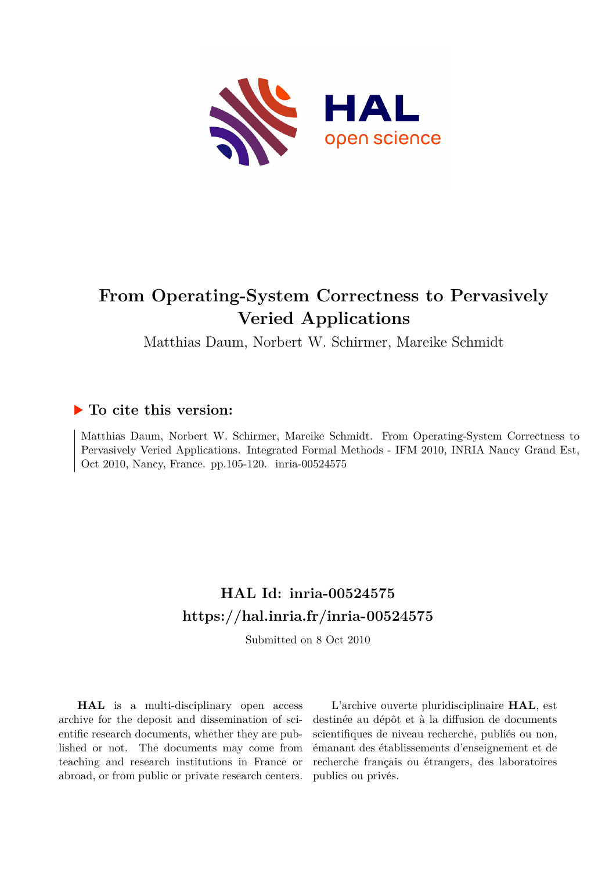

# **From Operating-System Correctness to Pervasively Veried Applications**

Matthias Daum, Norbert W. Schirmer, Mareike Schmidt

## **To cite this version:**

Matthias Daum, Norbert W. Schirmer, Mareike Schmidt. From Operating-System Correctness to Pervasively Veried Applications. Integrated Formal Methods - IFM 2010, INRIA Nancy Grand Est, Oct 2010, Nancy, France. pp.105-120. inria-00524575

# **HAL Id: inria-00524575 <https://hal.inria.fr/inria-00524575>**

Submitted on 8 Oct 2010

**HAL** is a multi-disciplinary open access archive for the deposit and dissemination of scientific research documents, whether they are published or not. The documents may come from teaching and research institutions in France or abroad, or from public or private research centers.

L'archive ouverte pluridisciplinaire **HAL**, est destinée au dépôt et à la diffusion de documents scientifiques de niveau recherche, publiés ou non, émanant des établissements d'enseignement et de recherche français ou étrangers, des laboratoires publics ou privés.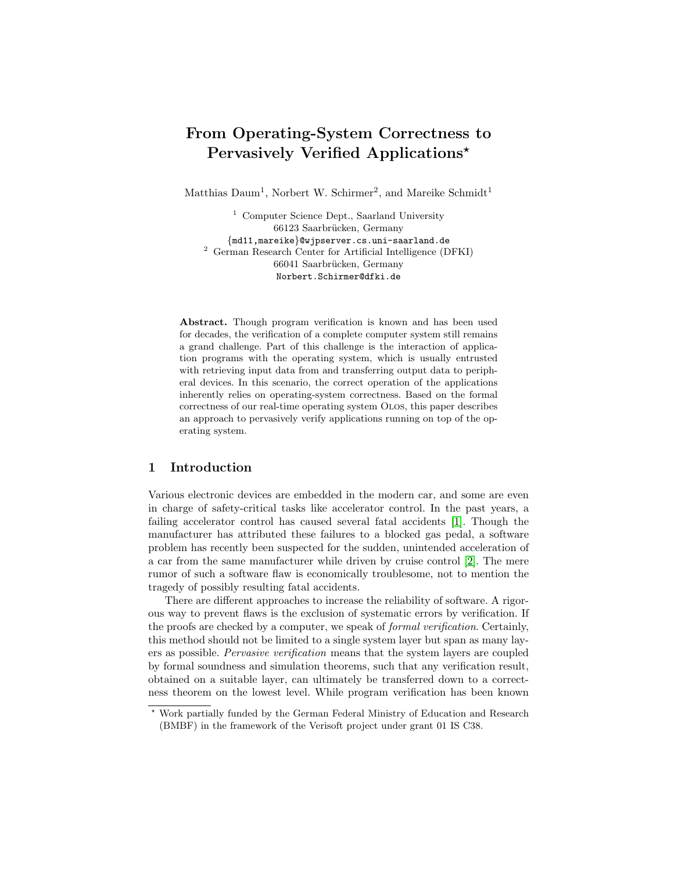## From Operating-System Correctness to Pervasively Verified Applications\*

Matthias  $\text{Daum}^1$ , Norbert W. Schirmer<sup>2</sup>, and Mareike Schmidt<sup>1</sup>

<sup>1</sup> Computer Science Dept., Saarland University 66123 Saarbrücken, Germany {md11,mareike}@wjpserver.cs.uni-saarland.de <sup>2</sup> German Research Center for Artificial Intelligence (DFKI) 66041 Saarbrücken, Germany Norbert.Schirmer@dfki.de

Abstract. Though program verification is known and has been used for decades, the verification of a complete computer system still remains a grand challenge. Part of this challenge is the interaction of application programs with the operating system, which is usually entrusted with retrieving input data from and transferring output data to peripheral devices. In this scenario, the correct operation of the applications inherently relies on operating-system correctness. Based on the formal correctness of our real-time operating system Olos, this paper describes an approach to pervasively verify applications running on top of the operating system.

#### 1 Introduction

Various electronic devices are embedded in the modern car, and some are even in charge of safety-critical tasks like accelerator control. In the past years, a failing accelerator control has caused several fatal accidents [\[1\]](#page-16-0). Though the manufacturer has attributed these failures to a blocked gas pedal, a software problem has recently been suspected for the sudden, unintended acceleration of a car from the same manufacturer while driven by cruise control [\[2\]](#page-16-1). The mere rumor of such a software flaw is economically troublesome, not to mention the tragedy of possibly resulting fatal accidents.

There are different approaches to increase the reliability of software. A rigorous way to prevent flaws is the exclusion of systematic errors by verification. If the proofs are checked by a computer, we speak of formal verification. Certainly, this method should not be limited to a single system layer but span as many layers as possible. Pervasive verification means that the system layers are coupled by formal soundness and simulation theorems, such that any verification result, obtained on a suitable layer, can ultimately be transferred down to a correctness theorem on the lowest level. While program verification has been known

<sup>⋆</sup> Work partially funded by the German Federal Ministry of Education and Research (BMBF) in the framework of the Verisoft project under grant 01 IS C38.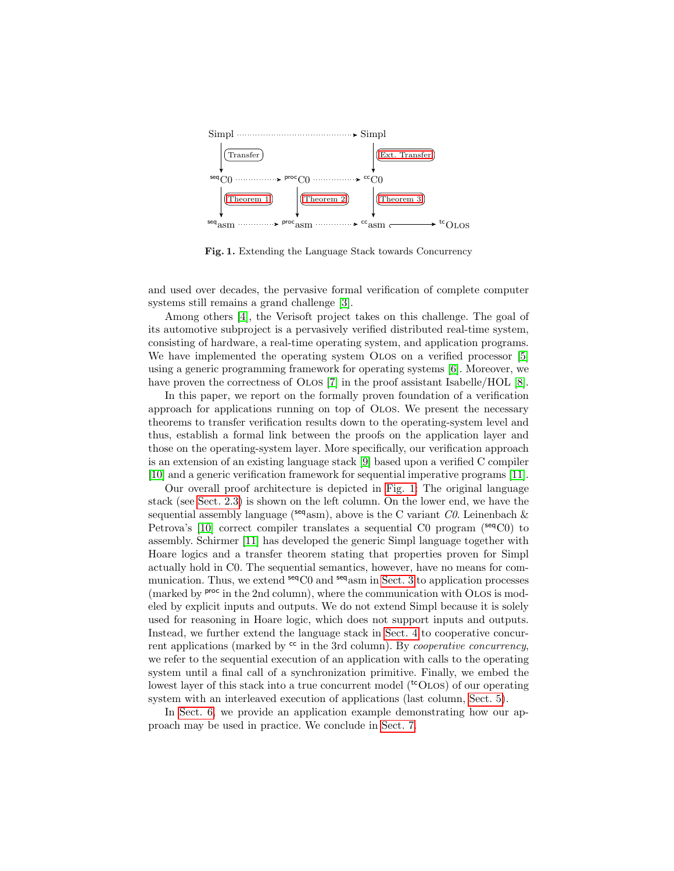

<span id="page-2-0"></span>Fig. 1. Extending the Language Stack towards Concurrency

and used over decades, the pervasive formal verification of complete computer systems still remains a grand challenge [\[3\]](#page-16-2).

Among others [\[4\]](#page-16-3), the Verisoft project takes on this challenge. The goal of its automotive subproject is a pervasively verified distributed real-time system, consisting of hardware, a real-time operating system, and application programs. We have implemented the operating system OLOS on a verified processor [\[5\]](#page-16-4) using a generic programming framework for operating systems [\[6\]](#page-16-5). Moreover, we have proven the correctness of OLOS [\[7\]](#page-16-6) in the proof assistant Isabelle/HOL [\[8\]](#page-16-7).

In this paper, we report on the formally proven foundation of a verification approach for applications running on top of Olos. We present the necessary theorems to transfer verification results down to the operating-system level and thus, establish a formal link between the proofs on the application layer and those on the operating-system layer. More specifically, our verification approach is an extension of an existing language stack [\[9\]](#page-16-8) based upon a verified C compiler [\[10\]](#page-16-9) and a generic verification framework for sequential imperative programs [\[11\]](#page-16-10).

Our overall proof architecture is depicted in [Fig. 1:](#page-2-0) The original language stack (see [Sect. 2.3\)](#page-5-0) is shown on the left column. On the lower end, we have the sequential assembly language (seq asm), above is the C variant  $C\theta$ . Leinenbach & Petrova's [\[10\]](#page-16-9) correct compiler translates a sequential C0 program ( $^{seq}CO$ ) to assembly. Schirmer [\[11\]](#page-16-10) has developed the generic Simpl language together with Hoare logics and a transfer theorem stating that properties proven for Simpl actually hold in C0. The sequential semantics, however, have no means for communication. Thus, we extend  ${^{seq}CO}$  and  ${^{seq}asm}$  in [Sect. 3](#page-7-0) to application processes (marked by <sup>proc</sup> in the 2nd column), where the communication with OLOS is modeled by explicit inputs and outputs. We do not extend Simpl because it is solely used for reasoning in Hoare logic, which does not support inputs and outputs. Instead, we further extend the language stack in [Sect. 4](#page-11-0) to cooperative concurrent applications (marked by  $\alpha$  in the 3rd column). By *cooperative concurrency*, we refer to the sequential execution of an application with calls to the operating system until a final call of a synchronization primitive. Finally, we embed the lowest layer of this stack into a true concurrent model  $({}^{tc}OLOS)$  of our operating system with an interleaved execution of applications (last column, [Sect. 5\)](#page-13-0).

In [Sect. 6,](#page-13-1) we provide an application example demonstrating how our approach may be used in practice. We conclude in [Sect. 7.](#page-15-0)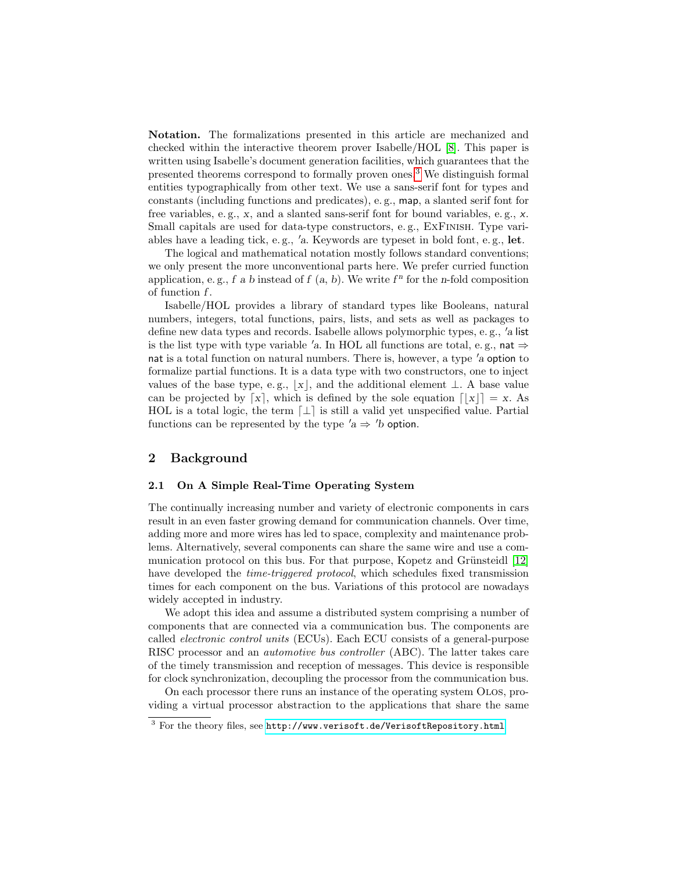Notation. The formalizations presented in this article are mechanized and checked within the interactive theorem prover Isabelle/HOL [\[8\]](#page-16-7). This paper is written using Isabelle's document generation facilities, which guarantees that the presented theorems correspond to formally proven ones.[3](#page-3-0) We distinguish formal entities typographically from other text. We use a sans-serif font for types and constants (including functions and predicates), e. g., map, a slanted serif font for free variables, e.g., x, and a slanted sans-serif font for bound variables, e.g.,  $x$ . Small capitals are used for data-type constructors, e.g., EXFINISH. Type variables have a leading tick, e.g.,  $\alpha$ . Keywords are typeset in bold font, e.g., let.

The logical and mathematical notation mostly follows standard conventions; we only present the more unconventional parts here. We prefer curried function application, e.g., f a b instead of f  $(a, b)$ . We write  $f<sup>n</sup>$  for the n-fold composition of function f .

Isabelle/HOL provides a library of standard types like Booleans, natural numbers, integers, total functions, pairs, lists, and sets as well as packages to define new data types and records. Isabelle allows polymorphic types, e. g., ′a list is the list type with type variable 'a. In HOL all functions are total, e.g., nat  $\Rightarrow$ nat is a total function on natural numbers. There is, however, a type ′a option to formalize partial functions. It is a data type with two constructors, one to inject values of the base type, e.g.,  $|x|$ , and the additional element  $\perp$ . A base value can be projected by  $[x]$ , which is defined by the sole equation  $[|x|] = x$ . As HOL is a total logic, the term  $\lfloor \perp \rfloor$  is still a valid yet unspecified value. Partial functions can be represented by the type  $a \Rightarrow b$  option.

#### 2 Background

#### 2.1 On A Simple Real-Time Operating System

The continually increasing number and variety of electronic components in cars result in an even faster growing demand for communication channels. Over time, adding more and more wires has led to space, complexity and maintenance problems. Alternatively, several components can share the same wire and use a communication protocol on this bus. For that purpose, Kopetz and Grünsteidl  $[12]$ have developed the *time-triggered protocol*, which schedules fixed transmission times for each component on the bus. Variations of this protocol are nowadays widely accepted in industry.

We adopt this idea and assume a distributed system comprising a number of components that are connected via a communication bus. The components are called electronic control units (ECUs). Each ECU consists of a general-purpose RISC processor and an automotive bus controller (ABC). The latter takes care of the timely transmission and reception of messages. This device is responsible for clock synchronization, decoupling the processor from the communication bus.

On each processor there runs an instance of the operating system Olos, providing a virtual processor abstraction to the applications that share the same

<span id="page-3-0"></span><sup>3</sup> For the theory files, see <http://www.verisoft.de/VerisoftRepository.html>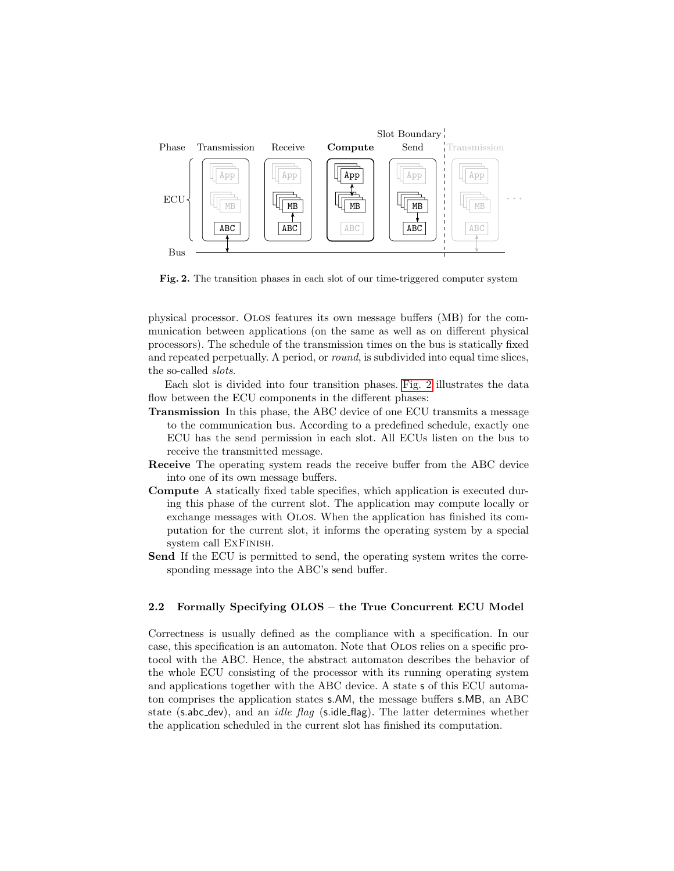

<span id="page-4-0"></span>Fig. 2. The transition phases in each slot of our time-triggered computer system

physical processor. Olos features its own message buffers (MB) for the communication between applications (on the same as well as on different physical processors). The schedule of the transmission times on the bus is statically fixed and repeated perpetually. A period, or round, is subdivided into equal time slices, the so-called slots.

Each slot is divided into four transition phases. [Fig. 2](#page-4-0) illustrates the data flow between the ECU components in the different phases:

- Transmission In this phase, the ABC device of one ECU transmits a message to the communication bus. According to a predefined schedule, exactly one ECU has the send permission in each slot. All ECUs listen on the bus to receive the transmitted message.
- Receive The operating system reads the receive buffer from the ABC device into one of its own message buffers.
- Compute A statically fixed table specifies, which application is executed during this phase of the current slot. The application may compute locally or exchange messages with Olos. When the application has finished its computation for the current slot, it informs the operating system by a special system call ExFinish.
- Send If the ECU is permitted to send, the operating system writes the corresponding message into the ABC's send buffer.

#### <span id="page-4-1"></span>2.2 Formally Specifying OLOS – the True Concurrent ECU Model

Correctness is usually defined as the compliance with a specification. In our case, this specification is an automaton. Note that Olos relies on a specific protocol with the ABC. Hence, the abstract automaton describes the behavior of the whole ECU consisting of the processor with its running operating system and applications together with the ABC device. A state s of this ECU automaton comprises the application states s.AM, the message buffers s.MB, an ABC state (s.abc\_dev), and an *idle flag* (s.idle\_flag). The latter determines whether the application scheduled in the current slot has finished its computation.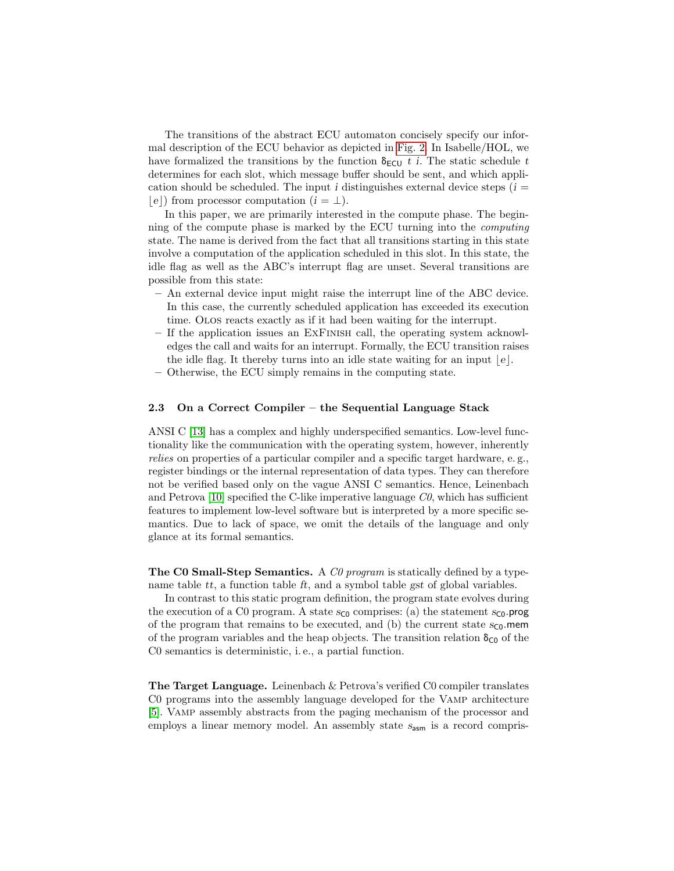The transitions of the abstract ECU automaton concisely specify our informal description of the ECU behavior as depicted in [Fig. 2.](#page-4-0) In Isabelle/HOL, we have formalized the transitions by the function  $\delta_{ECU}$  t i. The static schedule t determines for each slot, which message buffer should be sent, and which application should be scheduled. The input i distinguishes external device steps  $(i =$  $|e|$ ) from processor computation  $(i = \perp)$ .

In this paper, we are primarily interested in the compute phase. The beginning of the compute phase is marked by the ECU turning into the computing state. The name is derived from the fact that all transitions starting in this state involve a computation of the application scheduled in this slot. In this state, the idle flag as well as the ABC's interrupt flag are unset. Several transitions are possible from this state:

- An external device input might raise the interrupt line of the ABC device. In this case, the currently scheduled application has exceeded its execution time. Olos reacts exactly as if it had been waiting for the interrupt.
- If the application issues an ExFinish call, the operating system acknowledges the call and waits for an interrupt. Formally, the ECU transition raises the idle flag. It thereby turns into an idle state waiting for an input  $|e|$ .
- Otherwise, the ECU simply remains in the computing state.

#### <span id="page-5-0"></span>2.3 On a Correct Compiler – the Sequential Language Stack

ANSI C [\[13\]](#page-16-12) has a complex and highly underspecified semantics. Low-level functionality like the communication with the operating system, however, inherently relies on properties of a particular compiler and a specific target hardware, e. g., register bindings or the internal representation of data types. They can therefore not be verified based only on the vague ANSI C semantics. Hence, Leinenbach and Petrova  $[10]$  specified the C-like imperative language  $C_0$ , which has sufficient features to implement low-level software but is interpreted by a more specific semantics. Due to lack of space, we omit the details of the language and only glance at its formal semantics.

**The C0 Small-Step Semantics.** A *C0 program* is statically defined by a typename table  $tt$ , a function table  $ft$ , and a symbol table gst of global variables.

In contrast to this static program definition, the program state evolves during the execution of a C0 program. A state  $s_{\text{CO}}$  comprises: (a) the statement  $s_{\text{CO}}$ .prog of the program that remains to be executed, and (b) the current state  $s_{\text{CO}}$ .mem of the program variables and the heap objects. The transition relation  $\delta_{\rm C0}$  of the C0 semantics is deterministic, i. e., a partial function.

The Target Language. Leinenbach & Petrova's verified C0 compiler translates C0 programs into the assembly language developed for the Vamp architecture [\[5\]](#page-16-4). Vamp assembly abstracts from the paging mechanism of the processor and employs a linear memory model. An assembly state  $s_{\text{asm}}$  is a record compris-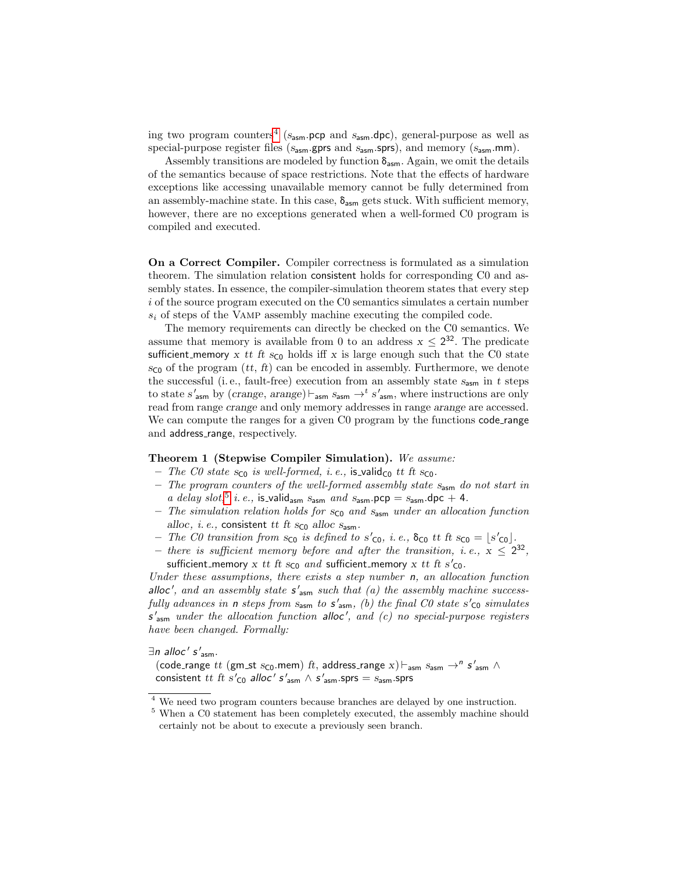ing two program counters<sup>[4](#page-6-1)</sup> ( $s_{\text{asm}}$ , pcp and  $s_{\text{asm}}$ .dpc), general-purpose as well as special-purpose register files ( $s_{\text{asm}}$  gprs and  $s_{\text{asm}}$  sprs), and memory ( $s_{\text{asm}}$  mm).

Assembly transitions are modeled by function  $\delta_{\text{asm}}$ . Again, we omit the details of the semantics because of space restrictions. Note that the effects of hardware exceptions like accessing unavailable memory cannot be fully determined from an assembly-machine state. In this case,  $\delta_{\text{asm}}$  gets stuck. With sufficient memory, however, there are no exceptions generated when a well-formed C0 program is compiled and executed.

On a Correct Compiler. Compiler correctness is formulated as a simulation theorem. The simulation relation consistent holds for corresponding C0 and assembly states. In essence, the compiler-simulation theorem states that every step i of the source program executed on the C0 semantics simulates a certain number  $s_i$  of steps of the VAMP assembly machine executing the compiled code.

The memory requirements can directly be checked on the C0 semantics. We assume that memory is available from 0 to an address  $x \leq 2^{32}$ . The predicate sufficient memory x tt ft  $s_{\text{CO}}$  holds iff x is large enough such that the C0 state  $s_{\text{CO}}$  of the program  $(tt, ft)$  can be encoded in assembly. Furthermore, we denote the successful (i.e., fault-free) execution from an assembly state  $s_{\text{asm}}$  in t steps to state  $s'_{\text{asm}}$  by  $(crange, arange) \vdash_{\text{asm}} s_{\text{asm}} \rightarrow^t s'_{\text{asm}}$ , where instructions are only read from range crange and only memory addresses in range arange are accessed. We can compute the ranges for a given C0 program by the functions code range and address range, respectively.

#### <span id="page-6-0"></span>Theorem 1 (Stepwise Compiler Simulation). We assume:

- The C0 state  $s_{C0}$  is well-formed, i.e., is valid<sub>C0</sub> tt ft  $s_{C0}$ .
- The program counters of the well-formed assembly state  $s_{\text{asm}}$  do not start in a delay slot,<sup>[5](#page-6-2)</sup> i.e., is valid<sub>asm</sub> s<sub>asm</sub> and s<sub>asm</sub>.pcp =  $s_{asm}$ .dpc + 4.
- The simulation relation holds for  $s_{\text{CO}}$  and  $s_{\text{asm}}$  under an allocation function alloc, i.e., consistent tt ft  $s_{C0}$  alloc  $s_{\text{asm}}$ .
- The C0 transition from  $s_{\text{CO}}$  is defined to  $s'_{\text{CO}}$ , i.e.,  $\delta_{\text{CO}}$  tt ft  $s_{\text{CO}} = [s'_{\text{CO}}]$ .
- there is sufficient memory before and after the transition, i.e.,  $x \leq 2^{32}$ , sufficient\_memory  $x$  tt  $ft$   $s_{\textsf{CO}}$  and sufficient\_memory  $x$   $tt$   $ft$   $s{'}_{\textsf{CO}}$ .

Under these assumptions, there exists a step number n, an allocation function alloc', and an assembly state  $s'_{asm}$  such that (a) the assembly machine successfully advances in **n** steps from  $s_{\text{asm}}$  to  $s'_{\text{asm}}$ , (b) the final C0 state  $s'_{\text{CO}}$  simulates  $s'_{\text{asm}}$  under the allocation function alloc', and (c) no special-purpose registers have been changed. Formally:

 $\exists$ n alloc's'<sub>asm</sub>.

(code\_range tt (gm\_st s<sub>C0</sub>.mem) ft, address\_range x)  $\vdash$ <sub>asm</sub> s<sub>asm</sub>  $\rightarrow$ <sup>n</sup> s'<sub>asm</sub>  $\land$ consistent  $tt$   $tt$   $st$   $_{\mathsf{CO}}$  alloc'  $s'_{\mathsf{asm}} \wedge s'_{\mathsf{asm}}.$ spr $\mathsf{s} = s_{\mathsf{asm}}.$ spr $\mathsf{s}$ 

<span id="page-6-1"></span><sup>4</sup> We need two program counters because branches are delayed by one instruction.

<span id="page-6-2"></span> $^5$  When a C0 statement has been completely executed, the assembly machine should certainly not be about to execute a previously seen branch.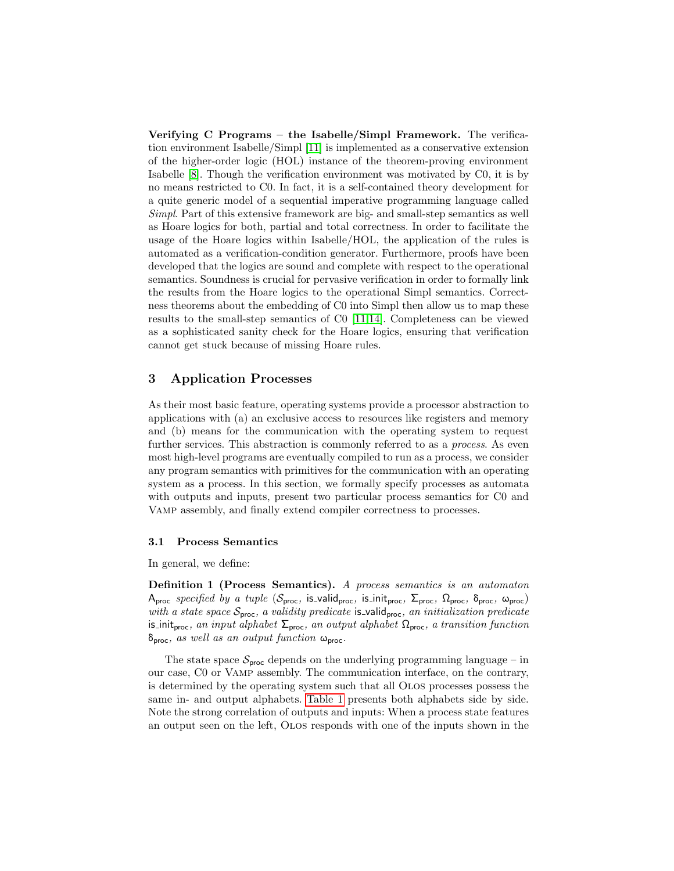Verifying C Programs – the Isabelle/Simpl Framework. The verification environment Isabelle/Simpl [\[11\]](#page-16-10) is implemented as a conservative extension of the higher-order logic (HOL) instance of the theorem-proving environment Isabelle [\[8\]](#page-16-7). Though the verification environment was motivated by C0, it is by no means restricted to C0. In fact, it is a self-contained theory development for a quite generic model of a sequential imperative programming language called Simpl. Part of this extensive framework are big- and small-step semantics as well as Hoare logics for both, partial and total correctness. In order to facilitate the usage of the Hoare logics within Isabelle/HOL, the application of the rules is automated as a verification-condition generator. Furthermore, proofs have been developed that the logics are sound and complete with respect to the operational semantics. Soundness is crucial for pervasive verification in order to formally link the results from the Hoare logics to the operational Simpl semantics. Correctness theorems about the embedding of C0 into Simpl then allow us to map these results to the small-step semantics of C0 [\[11](#page-16-10)[,14\]](#page-16-13). Completeness can be viewed as a sophisticated sanity check for the Hoare logics, ensuring that verification cannot get stuck because of missing Hoare rules.

#### <span id="page-7-0"></span>3 Application Processes

As their most basic feature, operating systems provide a processor abstraction to applications with (a) an exclusive access to resources like registers and memory and (b) means for the communication with the operating system to request further services. This abstraction is commonly referred to as a *process*. As even most high-level programs are eventually compiled to run as a process, we consider any program semantics with primitives for the communication with an operating system as a process. In this section, we formally specify processes as automata with outputs and inputs, present two particular process semantics for C0 and Vamp assembly, and finally extend compiler correctness to processes.

#### 3.1 Process Semantics

In general, we define:

Definition 1 (Process Semantics). A process semantics is an automaton A<sub>proc</sub> specified by a tuple (S<sub>proc</sub>, is\_valid<sub>proc</sub>, is\_init<sub>proc</sub>,  $\Sigma_{\text{proc}}$ ,  $\Omega_{\text{proc}}$ ,  $\delta_{\text{proc}}$ ,  $\omega_{\text{proc}}$ ) with a state space  $S_{\text{proc}}$ , a validity predicate is valid<sub>proc</sub>, an initialization predicate is init<sub>proc</sub>, an input alphabet  $\Sigma_{\text{proc}}$ , an output alphabet  $\Omega_{\text{proc}}$ , a transition function  $\delta_{\text{proc}}$ , as well as an output function  $\omega_{\text{proc}}$ .

The state space  $S_{\text{proc}}$  depends on the underlying programming language – in our case, C0 or Vamp assembly. The communication interface, on the contrary, is determined by the operating system such that all Olos processes possess the same in- and output alphabets. [Table 1](#page-8-0) presents both alphabets side by side. Note the strong correlation of outputs and inputs: When a process state features an output seen on the left, Olos responds with one of the inputs shown in the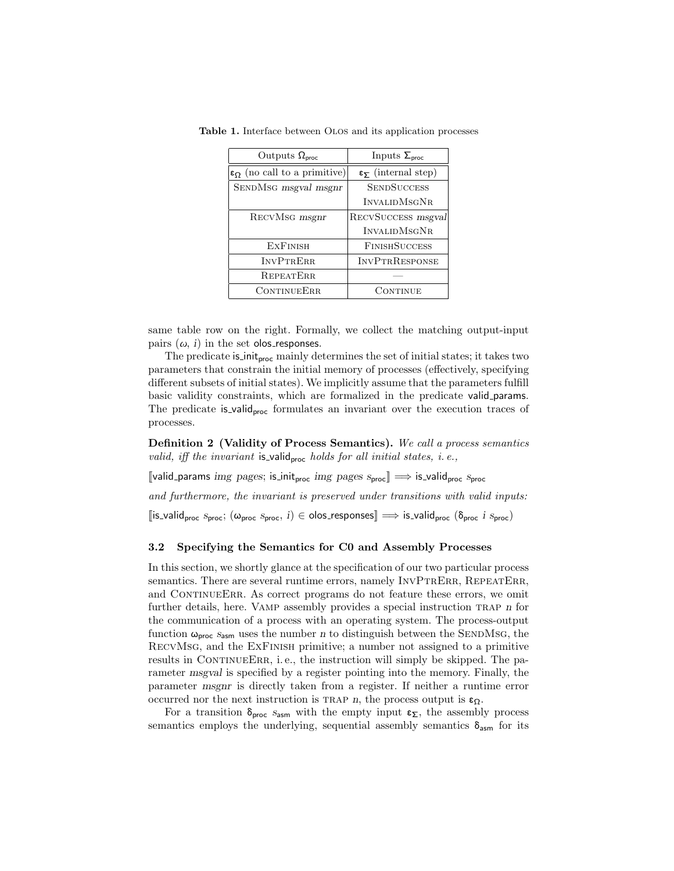<span id="page-8-0"></span>

| Outputs $\Omega_{\text{proc}}$                  | Inputs $\Sigma_{\text{proc}}$           |
|-------------------------------------------------|-----------------------------------------|
| $\varepsilon_{\Omega}$ (no call to a primitive) | $\epsilon$ <sub>5</sub> (internal step) |
| SENDMSG msgval msgnr                            | <b>SENDSUCCESS</b>                      |
|                                                 | <b>INVALIDMSGNR</b>                     |
| RECVMSG msgnr                                   | RECVSUCCESS msgval                      |
|                                                 | <b>INVALIDMSGNR</b>                     |
| <b>EXFINISH</b>                                 | <b>FINISHSUCCESS</b>                    |
| <b>INVPTRERR</b>                                | <b>INVPTRRESPONSE</b>                   |
| <b>REPEATERR</b>                                |                                         |
| CONTINUEERR                                     | CONTINUE                                |

Table 1. Interface between Olos and its application processes

same table row on the right. Formally, we collect the matching output-input pairs  $(\omega, i)$  in the set olos responses.

The predicate is init<sub>proc</sub> mainly determines the set of initial states; it takes two parameters that constrain the initial memory of processes (effectively, specifying different subsets of initial states). We implicitly assume that the parameters fulfill basic validity constraints, which are formalized in the predicate valid params. The predicate is valid<sub>proc</sub> formulates an invariant over the execution traces of processes.

Definition 2 (Validity of Process Semantics). We call a process semantics valid, iff the invariant is valid<sub>proc</sub> holds for all initial states, i.e.,

[valid\_params img pages; is\_init<sub>proc</sub> img pages  $s_{\text{proc}}$ ]  $\implies$  is\_valid<sub>proc</sub>  $s_{\text{proc}}$ and furthermore, the invariant is preserved under transitions with valid inputs:  $[\mathsf{is\_valid}_{\mathsf{proc}} \ s_{\mathsf{proc}}; (\omega_{\mathsf{proc}} \ s_{\mathsf{proc}}, i) \in \mathsf{olos\_response}] \Longrightarrow \mathsf{is\_valid}_{\mathsf{proc}} (\delta_{\mathsf{proc}} \ i \ s_{\mathsf{proc}})$ 

#### 3.2 Specifying the Semantics for C0 and Assembly Processes

In this section, we shortly glance at the specification of our two particular process semantics. There are several runtime errors, namely INVPTRERR, REPEATERR, and CONTINUEERR. As correct programs do not feature these errors, we omit further details, here. VAMP assembly provides a special instruction TRAP n for the communication of a process with an operating system. The process-output function  $\omega_{\text{proc}} s_{\text{asm}}$  uses the number n to distinguish between the SENDMsG, the RecvMsg, and the ExFinish primitive; a number not assigned to a primitive results in CONTINUEERR, i.e., the instruction will simply be skipped. The parameter msgval is specified by a register pointing into the memory. Finally, the parameter msgnr is directly taken from a register. If neither a runtime error occurred nor the next instruction is TRAP n, the process output is  $\varepsilon_{\Omega}$ .

For a transition  $\delta_{\text{proc}} s_{\text{asm}}$  with the empty input  $\epsilon_{\Sigma}$ , the assembly process semantics employs the underlying, sequential assembly semantics  $\delta_{\text{asm}}$  for its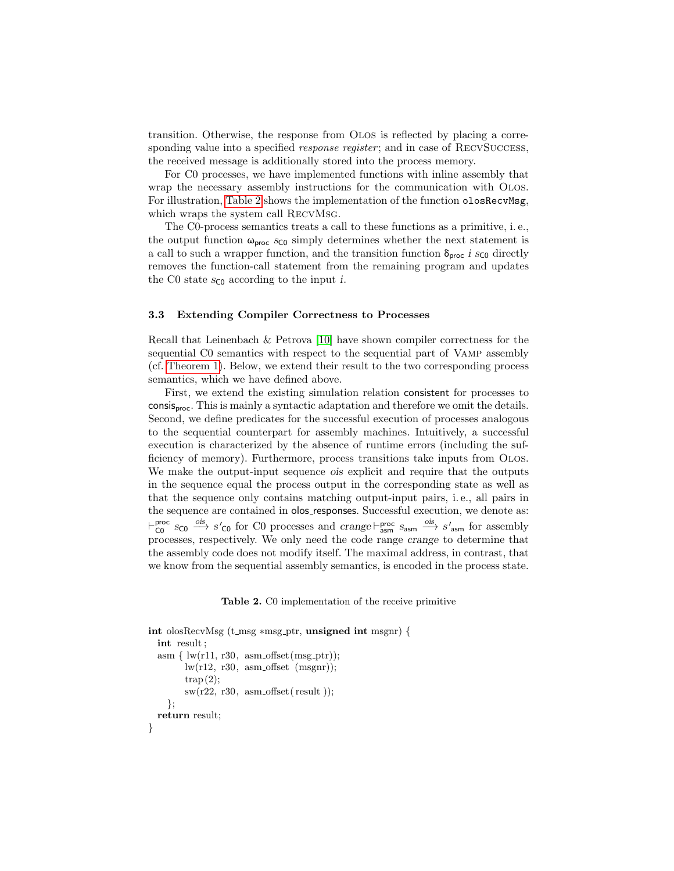transition. Otherwise, the response from Olos is reflected by placing a corresponding value into a specified *response register*; and in case of RECVSUCCESS, the received message is additionally stored into the process memory.

For C0 processes, we have implemented functions with inline assembly that wrap the necessary assembly instructions for the communication with Olos. For illustration, [Table 2](#page-9-0) shows the implementation of the function olosRecvMsg, which wraps the system call RecvMsg.

The C0-process semantics treats a call to these functions as a primitive, i. e., the output function  $\omega_{\text{proc}}$  s<sub>C0</sub> simply determines whether the next statement is a call to such a wrapper function, and the transition function  $\delta_{\text{proc}}$  i  $s_{\text{CO}}$  directly removes the function-call statement from the remaining program and updates the C0 state  $s_{\text{C}0}$  according to the input *i*.

#### 3.3 Extending Compiler Correctness to Processes

Recall that Leinenbach & Petrova [\[10\]](#page-16-9) have shown compiler correctness for the sequential C0 semantics with respect to the sequential part of Vamp assembly (cf. [Theorem 1\)](#page-6-0). Below, we extend their result to the two corresponding process semantics, which we have defined above.

First, we extend the existing simulation relation consistent for processes to consisproc. This is mainly a syntactic adaptation and therefore we omit the details. Second, we define predicates for the successful execution of processes analogous to the sequential counterpart for assembly machines. Intuitively, a successful execution is characterized by the absence of runtime errors (including the sufficiency of memory). Furthermore, process transitions take inputs from Olos. We make the output-input sequence ois explicit and require that the outputs in the sequence equal the process output in the corresponding state as well as that the sequence only contains matching output-input pairs, i. e., all pairs in the sequence are contained in olos\_responses. Successful execution, we denote as:  $\vdash_{\mathsf{CO}}^{\mathsf{proc}}$  s<sub>c0</sub>  $\stackrel{\mathsf{ois}}{\longrightarrow}$  s'<sub>c0</sub> for C0 processes and crange ⊢<sub>asm</sub> s<sub>asm</sub>  $\stackrel{\mathsf{ois}}{\longrightarrow}$  s'<sub>asm</sub> for assembly processes, respectively. We only need the code range crange to determine that the assembly code does not modify itself. The maximal address, in contrast, that we know from the sequential assembly semantics, is encoded in the process state.

<span id="page-9-0"></span>Table 2. C0 implementation of the receive primitive

```
int olosRecvMsg (t_msg *msg\_ptr, unsigned int msgnr) {
  int result ;
  asm \{ w(r11, r30, \text{asm-offset}(\text{msg\_ptr}));\mathrm{lw}(r12, r30, \mathrm{asm\_offset} \; (\mathrm{msgnr}));
          trap(2);sw(r22, r30, asm_{\text{offset}}(result));};
  return result;
}
```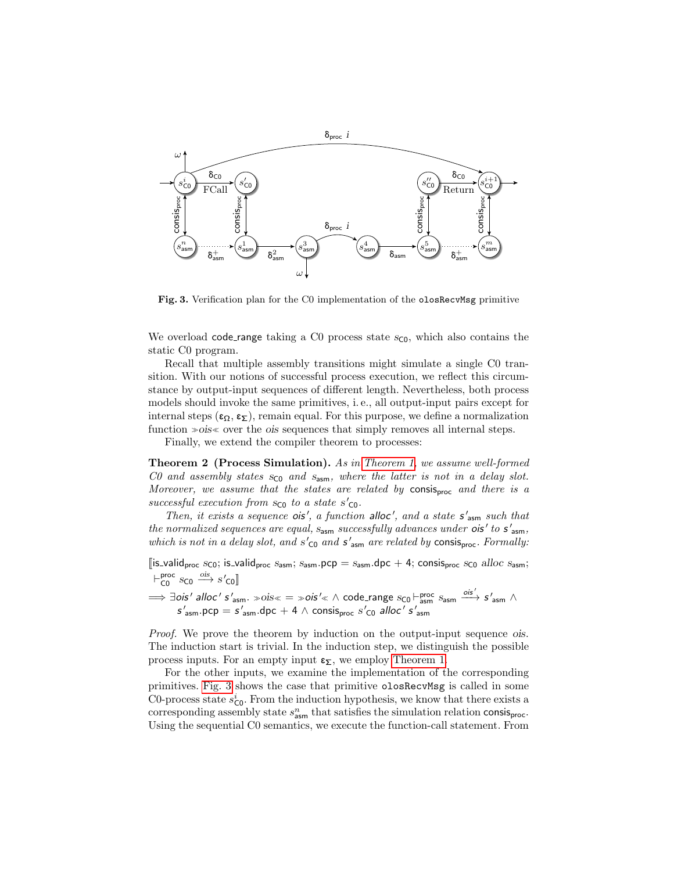

<span id="page-10-1"></span>Fig. 3. Verification plan for the C0 implementation of the olosRecvMsg primitive

We overload code range taking a C0 process state  $s_{C0}$ , which also contains the static C0 program.

Recall that multiple assembly transitions might simulate a single C0 transition. With our notions of successful process execution, we reflect this circumstance by output-input sequences of different length. Nevertheless, both process models should invoke the same primitives, i. e., all output-input pairs except for internal steps  $(\epsilon_{\Omega}, \epsilon_{\Sigma})$ , remain equal. For this purpose, we define a normalization function <sup>≫</sup>ois<sup>≪</sup> over the ois sequences that simply removes all internal steps.

<span id="page-10-0"></span>Finally, we extend the compiler theorem to processes:

**Theorem 2 (Process Simulation).** As in [Theorem 1,](#page-6-0) we assume well-formed C0 and assembly states  $s_{\text{CO}}$  and  $s_{\text{asm}}$ , where the latter is not in a delay slot. Moreover, we assume that the states are related by  $consis_{proc}$  and there is a successful execution from  $s_{C0}$  to a state  $s'_{C0}$ .

Then, it exists a sequence  $\sigma$ is', a function alloc', and a state s'<sub>asm</sub> such that the normalized sequences are equal,  $s_{\text{asm}}$  successfully advances under ois' to  $s'_{\text{asm}}$ , which is not in a delay slot, and  $s'_{\text{co}}$  and  $s'_{\text{asm}}$  are related by consis<sub>proc</sub>. Formally:

 $[\text{is}\_\text{valid}_{\text{proc}} s_{\text{CO}}; \text{is}\_\text{valid}_{\text{proc}} s_{\text{asm}}; s_{\text{asm}}.\text{pcp} = s_{\text{asm}}.\text{dpc} + 4; \text{consis}_{\text{proc}} s_{\text{CO}} \text{alloc} s_{\text{asm}};$  $\vdash_{\mathsf{CO}}^{\mathsf{proc}}$   $s_{\mathsf{CO}} \xrightarrow{\mathrm{ois}} s'_{\mathsf{CO}}$ 

 $\implies$  ∃ois' alloc' s'<sub>asm</sub>. » $ois \ll$  = » $ois' \ll \wedge$  code\_range  $s_{\mathsf{CO}} \vdash_{\mathsf{asm}}^{\mathsf{proc}} s_{\mathsf{asm}} \stackrel{ois'}{\longrightarrow}$  s'<sub>asm</sub>  $\wedge$  $s'_{\text{asm}}.\textsf{pcp} = s'_{\text{asm}}.\textsf{dpc} + 4 \wedge \textsf{consis}_{\textsf{proc}} s'_{\textsf{CO}} \textit{alloc}' s'_{\textsf{asm}}$ 

Proof. We prove the theorem by induction on the output-input sequence ois. The induction start is trivial. In the induction step, we distinguish the possible process inputs. For an empty input  $\varepsilon_{\Sigma}$ , we employ [Theorem 1.](#page-6-0)

For the other inputs, we examine the implementation of the corresponding primitives. [Fig. 3](#page-10-1) shows the case that primitive olosRecvMsg is called in some C0-process state  $s_{\text{CO}}^i$ . From the induction hypothesis, we know that there exists a corresponding assembly state  $s_{\text{asm}}^n$  that satisfies the simulation relation consisproc. Using the sequential C0 semantics, we execute the function-call statement. From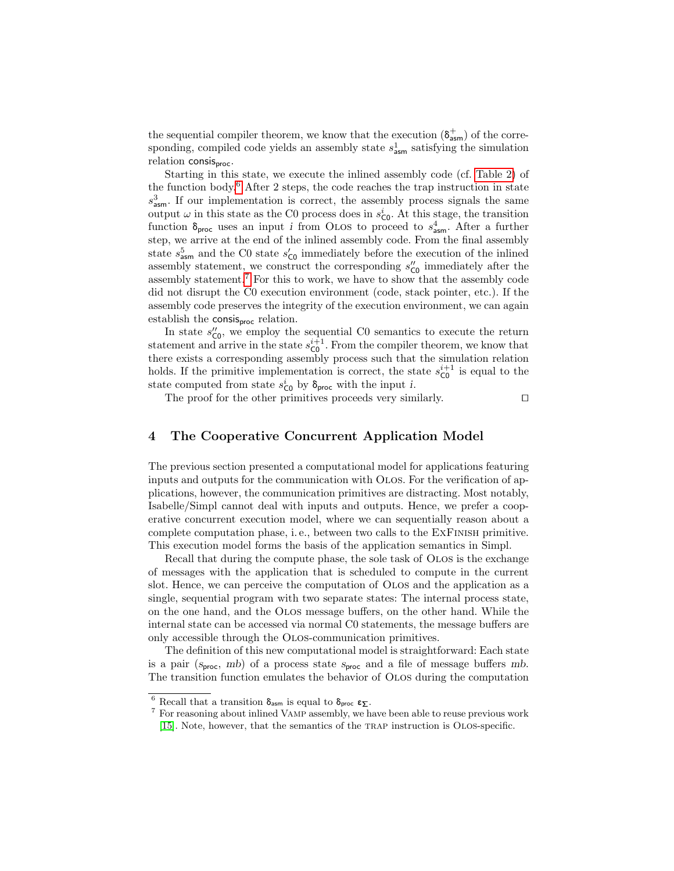the sequential compiler theorem, we know that the execution  $(\delta_{\text{asm}}^{+})$  of the corresponding, compiled code yields an assembly state  $s_{\text{asm}}^1$  satisfying the simulation relation consisproc.

Starting in this state, we execute the inlined assembly code (cf. [Table 2\)](#page-9-0) of the function body. $6$  After 2 steps, the code reaches the trap instruction in state  $s_{\text{asm}}^3$ . If our implementation is correct, the assembly process signals the same output  $\omega$  in this state as the C0 process does in  $s_{\text{CO}}^i$ . At this stage, the transition function  $\delta_{\text{proc}}$  uses an input *i* from OLOS to proceed to  $s_{\text{asm}}^4$ . After a further step, we arrive at the end of the inlined assembly code. From the final assembly state  $s_{\text{asm}}^5$  and the C0 state  $s_{\text{CO}}'$  immediately before the execution of the inlined assembly statement, we construct the corresponding  $s''<sub>CO</sub>$  immediately after the assembly statement.[7](#page-11-2) For this to work, we have to show that the assembly code did not disrupt the C0 execution environment (code, stack pointer, etc.). If the assembly code preserves the integrity of the execution environment, we can again establish the consisproc relation.

In state  $s''_{\text{CO}}$ , we employ the sequential C0 semantics to execute the return statement and arrive in the state  $s_{\text{CO}}^{i+1}$ . From the compiler theorem, we know that there exists a corresponding assembly process such that the simulation relation holds. If the primitive implementation is correct, the state  $s_{\text{CO}}^{i+1}$  is equal to the state computed from state  $s_{\text{CO}}^i$  by  $\delta_{\text{proc}}$  with the input *i*.

The proof for the other primitives proceeds very similarly. □

### <span id="page-11-0"></span>4 The Cooperative Concurrent Application Model

The previous section presented a computational model for applications featuring inputs and outputs for the communication with Olos. For the verification of applications, however, the communication primitives are distracting. Most notably, Isabelle/Simpl cannot deal with inputs and outputs. Hence, we prefer a cooperative concurrent execution model, where we can sequentially reason about a complete computation phase, i. e., between two calls to the ExFinish primitive. This execution model forms the basis of the application semantics in Simpl.

Recall that during the compute phase, the sole task of Olos is the exchange of messages with the application that is scheduled to compute in the current slot. Hence, we can perceive the computation of Olos and the application as a single, sequential program with two separate states: The internal process state, on the one hand, and the Olos message buffers, on the other hand. While the internal state can be accessed via normal C0 statements, the message buffers are only accessible through the Olos-communication primitives.

The definition of this new computational model is straightforward: Each state is a pair  $(s_{\text{proc}}, mb)$  of a process state  $s_{\text{proc}}$  and a file of message buffers mb. The transition function emulates the behavior of Olos during the computation

<span id="page-11-1"></span><sup>&</sup>lt;sup>6</sup> Recall that a transition  $\delta_{\text{asm}}$  is equal to  $\delta_{\text{proc}}$  ε<sub>Σ</sub>.

<span id="page-11-2"></span><sup>7</sup> For reasoning about inlined Vamp assembly, we have been able to reuse previous work [\[15\]](#page-16-14). Note, however, that the semantics of the trap instruction is Olos-specific.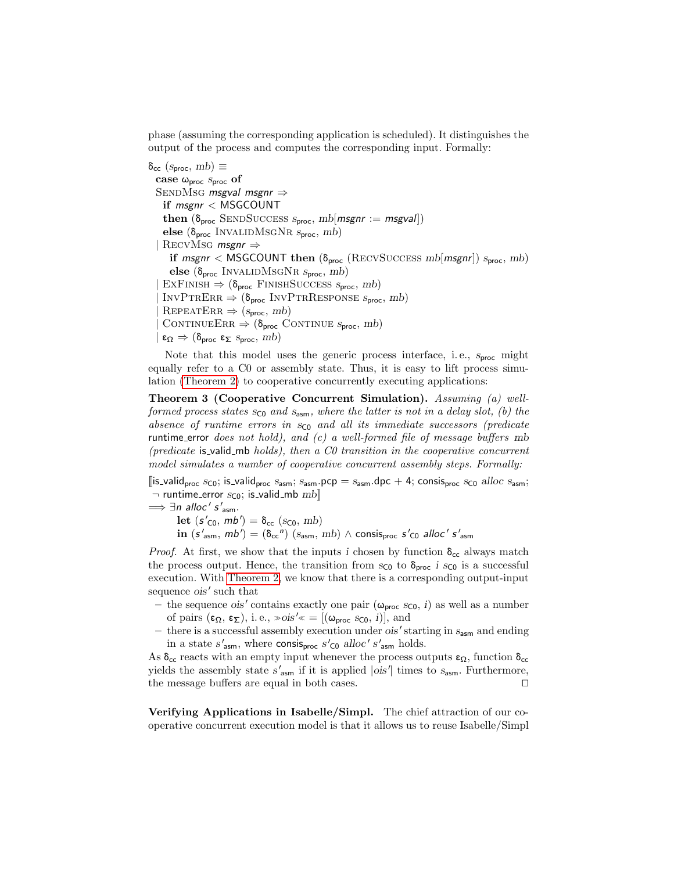phase (assuming the corresponding application is scheduled). It distinguishes the output of the process and computes the corresponding input. Formally:

 $δ<sub>cc</sub>$  (s<sub>proc</sub>, mb)  $\equiv$ case  $\omega_{\text{proc}} s_{\text{proc}}$  of SENDMSG msgval msgnr  $\Rightarrow$ if msgnr < MSGCOUNT then  $(\delta_{proc}$  SENDSUCCESS  $s_{proc}$ ,  $mb[msgnr := msgval])$ else ( $\delta_{\text{proc}}$  InvalidMsgNR  $s_{\text{proc}}$ , mb) | RECVMsG msgnr  $\Rightarrow$ if msgnr  $<$  MSGCOUNT then ( $\delta_{proc}$  (RECVSUCCESS mb[msgnr]) s<sub>proc</sub>, mb) else ( $\delta_{\text{proc}}$  InvalidMsgNR  $s_{\text{proc}}$ , mb)  $EXFINISH \Rightarrow (\delta_{proc}$  FINISHSUCCESS  $s_{proc}$ , mb)  $INVPTRERR \Rightarrow (\delta_{proc} INVPTRRESPONSE S_{proc}, mb)$  $REPERTERR \Rightarrow (s_{proc}, mb)$ CONTINUEERR  $\Rightarrow$  ( $\delta_{proc}$  CONTINUE  $s_{proc}$ , mb)  $\epsilon_{\Omega} \Rightarrow (\delta_{\text{proc}} \epsilon_{\Sigma} s_{\text{proc}}, mb)$ 

<span id="page-12-1"></span>Note that this model uses the generic process interface, i.e.,  $s_{\text{proc}}$  might equally refer to a C0 or assembly state. Thus, it is easy to lift process simulation [\(Theorem 2\)](#page-10-0) to cooperative concurrently executing applications:

Theorem 3 (Cooperative Concurrent Simulation). Assuming (a) wellformed process states  $s_{\text{CO}}$  and  $s_{\text{asm}}$ , where the latter is not in a delay slot, (b) the absence of runtime errors in  $s_{\text{CO}}$  and all its immediate successors (predicate runtime error does not hold), and (c) a well-formed file of message buffers mb (predicate is valid mb holds), then a  $C0$  transition in the cooperative concurrent model simulates a number of cooperative concurrent assembly steps. Formally:

 $\left| \frac{\text{is} \text{-valid}_{\text{proc}} S_{\text{CO}}}{\text{is} \text{-valid}_{\text{proc}} S_{\text{asm}}}; \frac{S_{\text{asm}}}{S_{\text{asm}}} \right|$ ,  $\text{cp} = S_{\text{asm}} \cdot \text{dpc} + 4$ ; consis<sub>proc</sub>  $S_{\text{CO}}$  alloc  $S_{\text{asm}}$ ;  $\neg$  runtime error  $s_{C0}$ ; is valid mb mb

 $\Longrightarrow$   $\exists$ n alloc' s'<sub>asm</sub>.

let  $(s'_{C0}, mb') = \delta_{cc} (s_{C0}, mb)$ 

 $\sin (s'_{\text{asm}}, mb') = (\delta_{\text{cc}}^n) (s_{\text{asm}}, mb) \wedge \cos is_{\text{proc}} s'_{\text{CO}} \text{alloc}' s'_{\text{asm}}$ 

*Proof.* At first, we show that the inputs i chosen by function  $\delta_{cc}$  always match the process output. Hence, the transition from  $s_{\text{CO}}$  to  $\delta_{\text{proc}}$  i  $s_{\text{CO}}$  is a successful execution. With [Theorem 2,](#page-10-0) we know that there is a corresponding output-input sequence ois′ such that

- the sequence ois' contains exactly one pair  $(\omega_{\text{proc}} s_{\text{CO}}, i)$  as well as a number of pairs  $(\epsilon_{\Omega}, \epsilon_{\Sigma})$ , i.e.,  $\gg \mathrm{ois}' \ll = [(\omega_{\text{proc}} s_{\text{CO}}, i)]$ , and
- there is a successful assembly execution under ois' starting in  $s_{\text{asm}}$  and ending in a state  $s'_{\text{asm}}$ , where consis<sub>proc</sub>  $s'_{\text{CO}}$  alloc'  $s'_{\text{asm}}$  holds.

As  $\delta_{cc}$  reacts with an empty input whenever the process outputs  $\varepsilon_{\Omega}$ , function  $\delta_{cc}$ yields the assembly state  $s'_{\text{asm}}$  if it is applied  $|ois'|$  times to  $s_{\text{asm}}$ . Furthermore, the message buffers are equal in both cases. ⊓⊔

<span id="page-12-0"></span>Verifying Applications in Isabelle/Simpl. The chief attraction of our cooperative concurrent execution model is that it allows us to reuse Isabelle/Simpl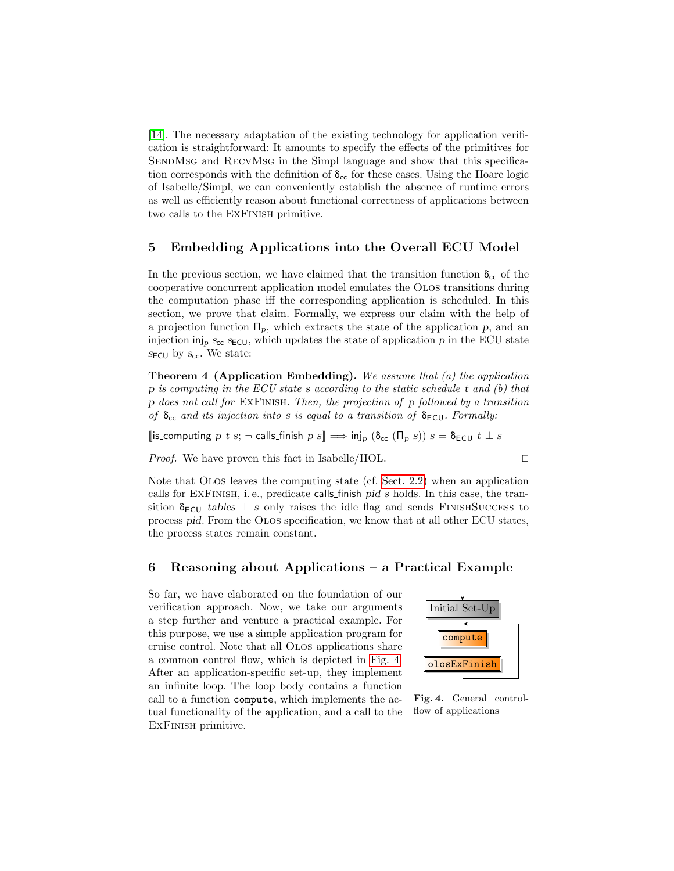[\[14\]](#page-16-13). The necessary adaptation of the existing technology for application verification is straightforward: It amounts to specify the effects of the primitives for SENDMSG and RECVMSG in the Simpl language and show that this specification corresponds with the definition of  $\delta_{cc}$  for these cases. Using the Hoare logic of Isabelle/Simpl, we can conveniently establish the absence of runtime errors as well as efficiently reason about functional correctness of applications between two calls to the ExFinish primitive.

#### <span id="page-13-0"></span>5 Embedding Applications into the Overall ECU Model

In the previous section, we have claimed that the transition function  $\delta_{cc}$  of the cooperative concurrent application model emulates the Olos transitions during the computation phase iff the corresponding application is scheduled. In this section, we prove that claim. Formally, we express our claim with the help of a projection function  $\Pi_p$ , which extracts the state of the application p, and an injection inj<sub>p</sub>  $S_{\text{cc}} S_{\text{ECU}}$ , which updates the state of application p in the ECU state  $s_{\text{ECU}}$  by  $s_{\text{cc}}$ . We state:

<span id="page-13-3"></span>**Theorem 4 (Application Embedding).** We assume that  $(a)$  the application p is computing in the  $ECU$  state s according to the static schedule t and (b) that p does not call for ExFinish. Then, the projection of p followed by a transition of  $\delta_{cc}$  and its injection into s is equal to a transition of  $\delta_{ECU}$ . Formally:

[is\_computing p t s;  $\neg$  calls\_finish p s]  $\Rightarrow$  inj<sub>p</sub> ( $\delta_{cc}$  ( $\Pi_p$  s)) s =  $\delta_{ECU}$  t  $\perp$  s

Proof. We have proven this fact in Isabelle/HOL. □

Note that Olos leaves the computing state (cf. [Sect. 2.2\)](#page-4-1) when an application calls for ExFinish, i. e., predicate calls finish pid s holds. In this case, the transition  $\delta_{\text{ECU}}$  tables  $\perp$  s only raises the idle flag and sends FINISHSUCCESS to process pid. From the Olos specification, we know that at all other ECU states, the process states remain constant.

#### <span id="page-13-1"></span>6 Reasoning about Applications – a Practical Example

So far, we have elaborated on the foundation of our verification approach. Now, we take our arguments a step further and venture a practical example. For this purpose, we use a simple application program for cruise control. Note that all Olos applications share a common control flow, which is depicted in [Fig. 4:](#page-13-2) After an application-specific set-up, they implement an infinite loop. The loop body contains a function call to a function compute, which implements the actual functionality of the application, and a call to the ExFinish primitive.



<span id="page-13-2"></span>Fig. 4. General controlflow of applications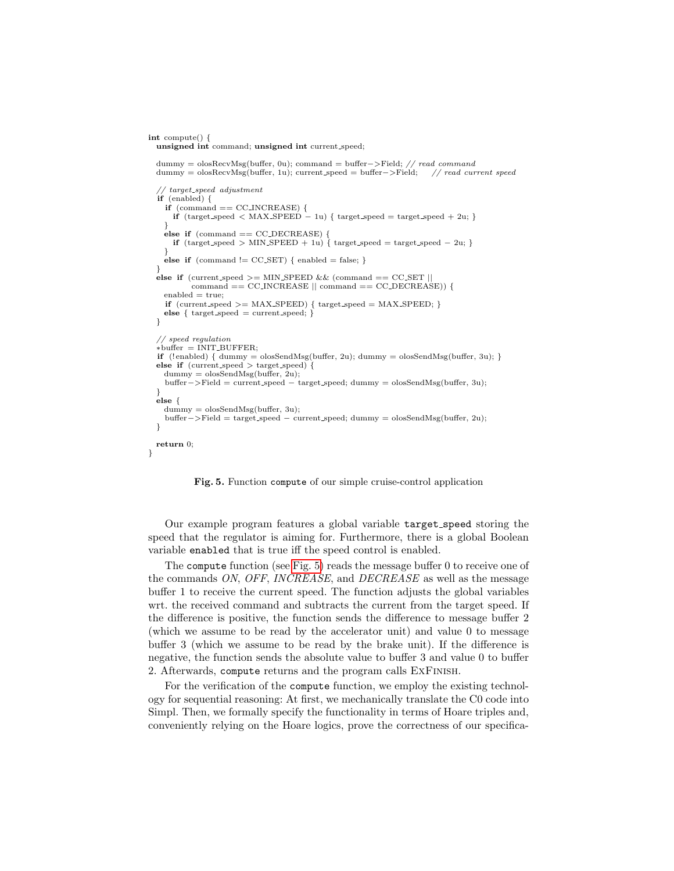int compute() { unsigned int command; unsigned int current speed;

}

```
dummy = olosRecvMsg(buffer, 0u); command = buffer−>Field; // read command
dummy = olosRecvMsg(buffer, 1u); current speed = buffer−>Field; // read current speed
  ' target_speed adjustment
\int_{\mathbf{if}}^{\infty} (enabled) {
  if (command == CC INCREASE)if (target_speed \langle MAX_SPEED - 1u) { target_speed = target_speed + 2u; }
  }
else if (command == CC DECREASE) {
    if (target_speed > MIN_SPEED + 1u) { target_speed = target_speed - 2u; }
  }
  else if (command := CC\_SET) { enabled = false; }
}
else if (current_speed >= MIN_SPEED && (command == CC_SET ||
         command == CC INCREASE || command == CC DECREASE)) {
  enabled = true:
  if (current_speed >= MAX_SPEED) { target_speed = MAX_SPEED; }
  else { target\_speed = current\_speed; }
}
// speed regulation
*buffer = INIT_BUFFER;
if (!enabled) { dummy = olosSendMsg(buffer, 2u); dummy = olosSendMsg(buffer, 3u); }
else if (current_speed > target_speed)dummy = olosSendMsg(buffer, 2u);buffer−>Field = current speed − target speed; dummy = olosSendMsg(buffer, 3u);
}
else {
  dummy = olosSendMsg(buffer, 3u);
  buffer−>Field = target speed − current speed; dummy = olosSendMsg(buffer, 2u);
}
return 0;
```
<span id="page-14-0"></span>Fig. 5. Function compute of our simple cruise-control application

Our example program features a global variable target speed storing the speed that the regulator is aiming for. Furthermore, there is a global Boolean variable enabled that is true iff the speed control is enabled.

The compute function (see [Fig. 5\)](#page-14-0) reads the message buffer 0 to receive one of the commands ON, OFF, INCREASE, and DECREASE as well as the message buffer 1 to receive the current speed. The function adjusts the global variables wrt. the received command and subtracts the current from the target speed. If the difference is positive, the function sends the difference to message buffer 2 (which we assume to be read by the accelerator unit) and value 0 to message buffer 3 (which we assume to be read by the brake unit). If the difference is negative, the function sends the absolute value to buffer 3 and value 0 to buffer 2. Afterwards, compute returns and the program calls ExFinish.

For the verification of the compute function, we employ the existing technology for sequential reasoning: At first, we mechanically translate the C0 code into Simpl. Then, we formally specify the functionality in terms of Hoare triples and, conveniently relying on the Hoare logics, prove the correctness of our specifica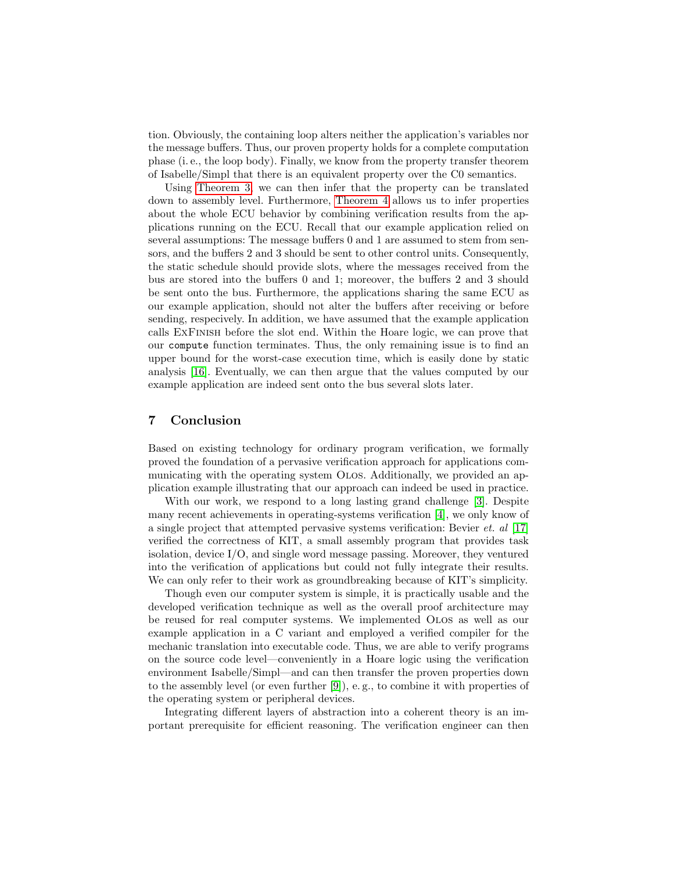tion. Obviously, the containing loop alters neither the application's variables nor the message buffers. Thus, our proven property holds for a complete computation phase (i. e., the loop body). Finally, we know from the property transfer theorem of Isabelle/Simpl that there is an equivalent property over the C0 semantics.

Using [Theorem 3,](#page-12-1) we can then infer that the property can be translated down to assembly level. Furthermore, [Theorem 4](#page-13-3) allows us to infer properties about the whole ECU behavior by combining verification results from the applications running on the ECU. Recall that our example application relied on several assumptions: The message buffers 0 and 1 are assumed to stem from sensors, and the buffers 2 and 3 should be sent to other control units. Consequently, the static schedule should provide slots, where the messages received from the bus are stored into the buffers 0 and 1; moreover, the buffers 2 and 3 should be sent onto the bus. Furthermore, the applications sharing the same ECU as our example application, should not alter the buffers after receiving or before sending, respecively. In addition, we have assumed that the example application calls ExFinish before the slot end. Within the Hoare logic, we can prove that our compute function terminates. Thus, the only remaining issue is to find an upper bound for the worst-case execution time, which is easily done by static analysis [\[16\]](#page-16-15). Eventually, we can then argue that the values computed by our example application are indeed sent onto the bus several slots later.

#### <span id="page-15-0"></span>7 Conclusion

Based on existing technology for ordinary program verification, we formally proved the foundation of a pervasive verification approach for applications communicating with the operating system Olos. Additionally, we provided an application example illustrating that our approach can indeed be used in practice.

With our work, we respond to a long lasting grand challenge [\[3\]](#page-16-2). Despite many recent achievements in operating-systems verification [\[4\]](#page-16-3), we only know of a single project that attempted pervasive systems verification: Bevier *et. al* [\[17\]](#page-16-16) verified the correctness of KIT, a small assembly program that provides task isolation, device I/O, and single word message passing. Moreover, they ventured into the verification of applications but could not fully integrate their results. We can only refer to their work as groundbreaking because of KIT's simplicity.

Though even our computer system is simple, it is practically usable and the developed verification technique as well as the overall proof architecture may be reused for real computer systems. We implemented Olos as well as our example application in a C variant and employed a verified compiler for the mechanic translation into executable code. Thus, we are able to verify programs on the source code level—conveniently in a Hoare logic using the verification environment Isabelle/Simpl—and can then transfer the proven properties down to the assembly level (or even further [\[9\]](#page-16-8)), e. g., to combine it with properties of the operating system or peripheral devices.

Integrating different layers of abstraction into a coherent theory is an important prerequisite for efficient reasoning. The verification engineer can then